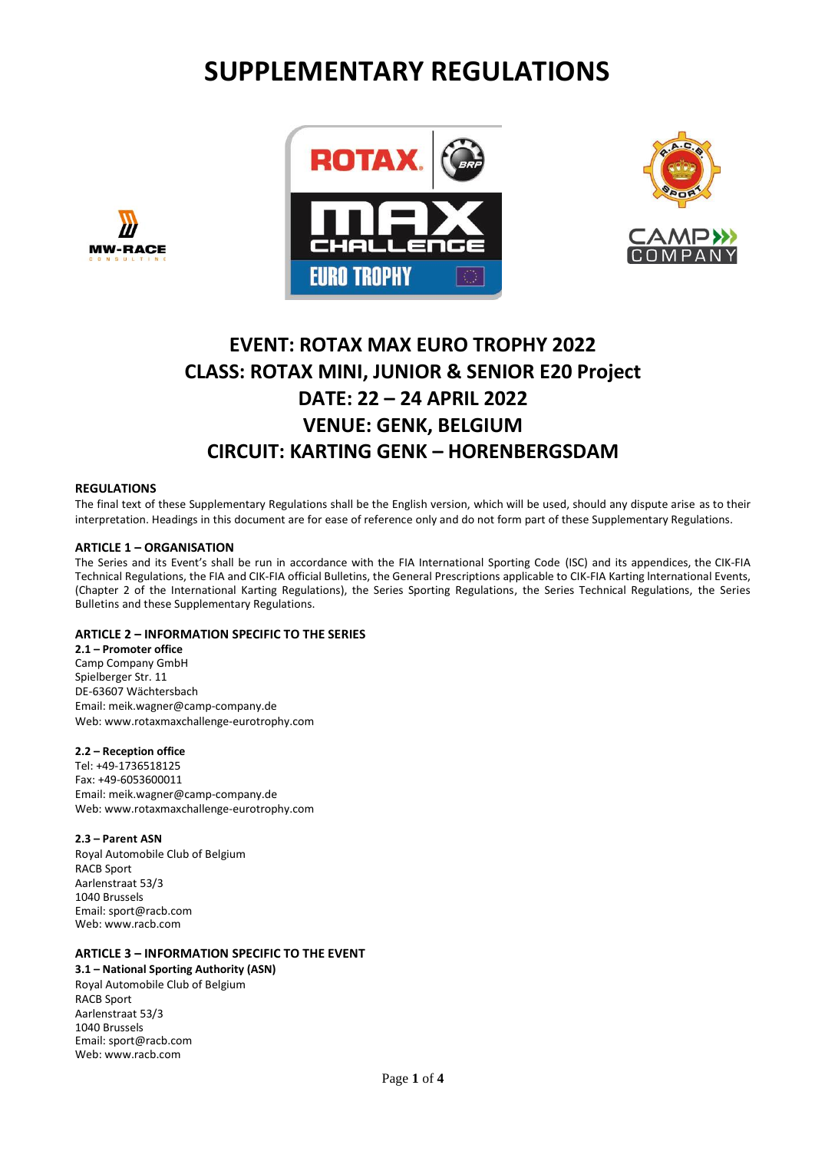# **SUPPLEMENTARY REGULATIONS**





## **EVENT: ROTAX MAX EURO TROPHY 2022 CLASS: ROTAX MINI, JUNIOR & SENIOR E20 Project DATE: 22 – 24 APRIL 2022 VENUE: GENK, BELGIUM CIRCUIT: KARTING GENK – HORENBERGSDAM**

## **REGULATIONS**

**MW-RACE** 

The final text of these Supplementary Regulations shall be the English version, which will be used, should any dispute arise as to their interpretation. Headings in this document are for ease of reference only and do not form part of these Supplementary Regulations.

## **ARTICLE 1 – ORGANISATION**

The Series and its Event's shall be run in accordance with the FIA International Sporting Code (ISC) and its appendices, the CIK-FIA Technical Regulations, the FIA and CIK-FIA official Bulletins, the General Prescriptions applicable to CIK-FIA Karting lnternational Events, (Chapter 2 of the International Karting Regulations), the Series Sporting Regulations, the Series Technical Regulations, the Series Bulletins and these Supplementary Regulations.

## **ARTICLE 2 – INFORMATION SPECIFIC TO THE SERIES**

**2.1 – Promoter office** Camp Company GmbH Spielberger Str. 11 DE-63607 Wächtersbach Email: meik.wagner@camp-company.de Web: www.rotaxmaxchallenge-eurotrophy.com

## **2.2 – Reception office**

Tel: +49-1736518125 Fax: +49-6053600011 Em[ail: meik.wagner@camp-company.de](mailto:info@rotaxmaxeurochallenge.com) Web: www.rotaxmaxchallenge-eurotrophy.com

## **2.3 – Parent ASN**

Royal Automobile Club of Belgium RACB Sport Aarlenstraat 53/3 1040 Brussels Email[: sport@racb.com](mailto:sport@racb.com) Web[: www.racb.com](http://www.racb.com/)

## **ARTICLE 3 – INFORMATION SPECIFIC TO THE EVENT**

**3.1 – National Sporting Authority (ASN)** Royal Automobile Club of Belgium RACB Sport Aarlenstraat 53/3 1040 Brussels Email[: sport@racb.com](mailto:sport@racb.com) Web: [www.racb.com](http://www.racb.com/)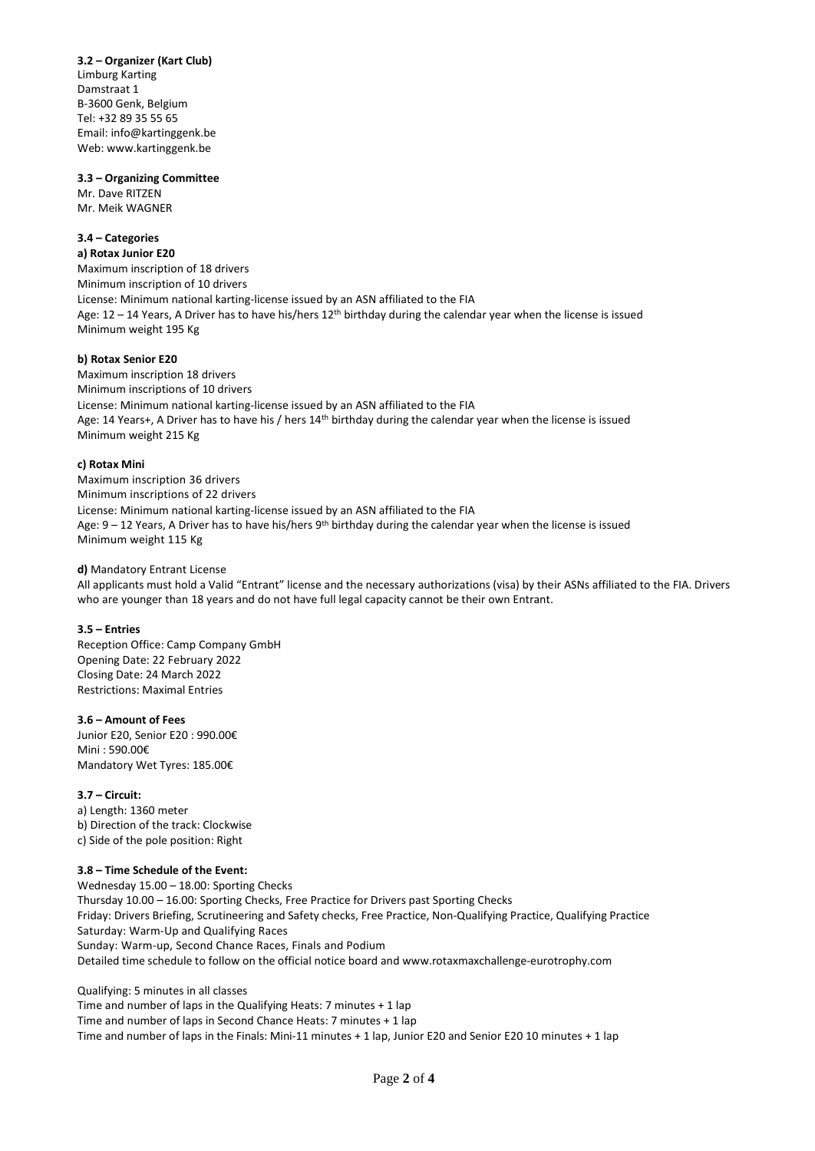**3.2 – Organizer (Kart Club)** Limburg Karting Damstraat 1 B-3600 Genk, Belgium Tel: +32 89 35 55 65 Email: [info@kartinggenk.be](mailto:info@kartinggenk.be) We[b: www.kartinggenk.be](http://www.kartinggenk.be/)

### **3.3 – Organizing Committee**

Mr. Dave RITZEN Mr. Meik WAGNER

## **3.4 – Categories**

**a) Rotax Junior E20** Maximum inscription of 18 drivers Minimum inscription of 10 drivers License: Minimum national karting-license issued by an ASN affiliated to the FIA Age:  $12 - 14$  Years, A Driver has to have his/hers  $12$ <sup>th</sup> birthday during the calendar year when the license is issued Minimum weight 195 Kg

## **b) Rotax Senior E20**

Maximum inscription 18 drivers Minimum inscriptions of 10 drivers License: Minimum national karting-license issued by an ASN affiliated to the FIA Age: 14 Years+, A Driver has to have his / hers 14<sup>th</sup> birthday during the calendar year when the license is issued Minimum weight 215 Kg

## **c) Rotax Mini**

Maximum inscription 36 drivers Minimum inscriptions of 22 drivers License: Minimum national karting-license issued by an ASN affiliated to the FIA Age: 9 – 12 Years, A Driver has to have his/hers 9<sup>th</sup> birthday during the calendar year when the license is issued Minimum weight 115 Kg

## **d)** Mandatory Entrant License

All applicants must hold a Valid "Entrant" license and the necessary authorizations (visa) by their ASNs affiliated to the FIA. Drivers who are younger than 18 years and do not have full legal capacity cannot be their own Entrant.

## **3.5 – Entries**

Reception Office: Camp Company GmbH Opening Date: 22 February 2022 Closing Date: 24 March 2022 Restrictions: Maximal Entries

## **3.6 – Amount of Fees**

Junior E20, Senior E20 : 990.00€ Mini : 590.00€ Mandatory Wet Tyres: 185.00€

## **3.7 – Circuit:**

a) Length: 1360 meter b) Direction of the track: Clockwise c) Side of the pole position: Right

## **3.8 – Time Schedule of the Event:**

Wednesday 15.00 – 18.00: Sporting Checks Thursday 10.00 – 16.00: Sporting Checks, Free Practice for Drivers past Sporting Checks Friday: Drivers Briefing, Scrutineering and Safety checks, Free Practice, Non-Qualifying Practice, Qualifying Practice Saturday: Warm-Up and Qualifying Races Sunday: Warm-up, Second Chance Races, Finals and Podium Detailed time schedule to follow on the official notice board and www.rotaxmaxchallenge-eurotrophy.com

Qualifying: 5 minutes in all classes

Time and number of laps in the Qualifying Heats: 7 minutes + 1 lap Time and number of laps in Second Chance Heats: 7 minutes + 1 lap Time and number of laps in the Finals: Mini-11 minutes + 1 lap, Junior E20 and Senior E20 10 minutes + 1 lap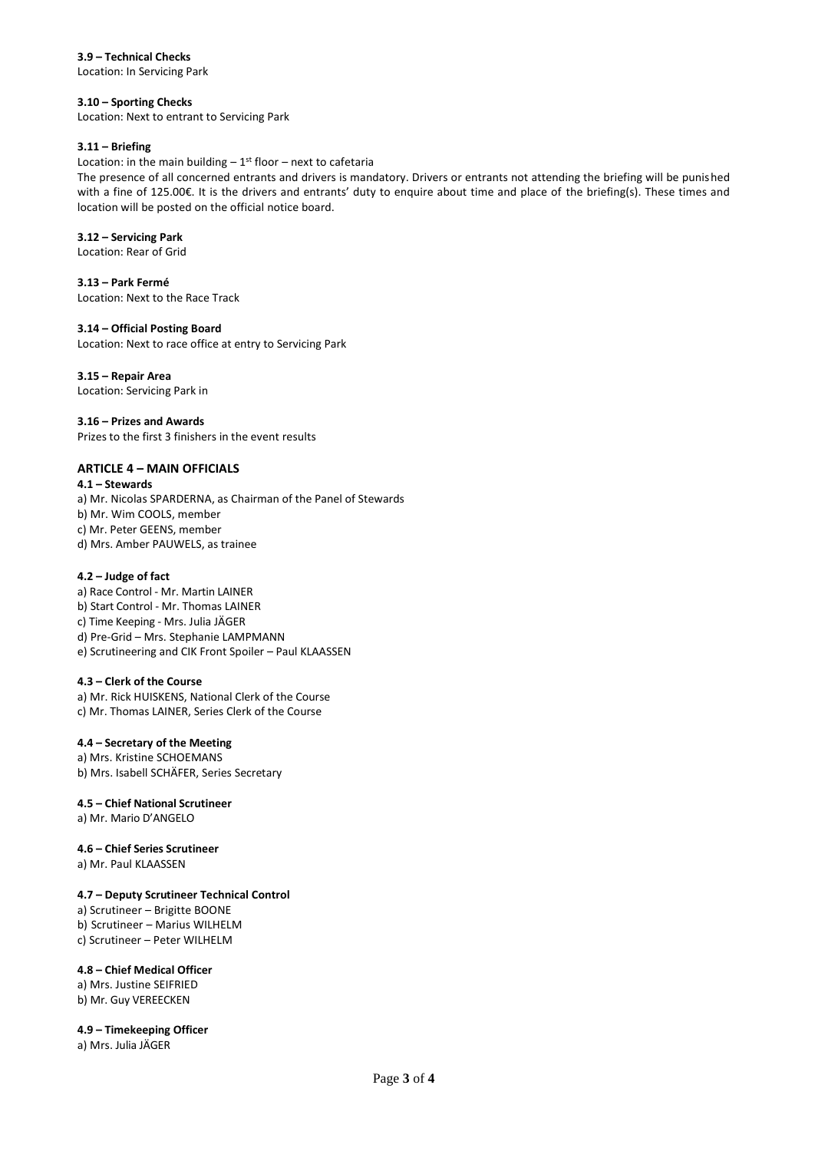**3.9 – Technical Checks**

Location: In Servicing Park

## **3.10 – Sporting Checks**

Location: Next to entrant to Servicing Park

## **3.11 – Briefing**

Location: in the main building  $-1^{st}$  floor  $-$  next to cafetaria

The presence of all concerned entrants and drivers is mandatory. Drivers or entrants not attending the briefing will be punished with a fine of 125.00€. It is the drivers and entrants' duty to enquire about time and place of the briefing(s). These times and location will be posted on the official notice board.

## **3.12 – Servicing Park**

Location: Rear of Grid

**3.13 – Park Fermé** Location: Next to the Race Track

## **3.14 – Official Posting Board**

Location: Next to race office at entry to Servicing Park

## **3.15 – Repair Area**

Location: Servicing Park in

## **3.16 – Prizes and Awards**

Prizes to the first 3 finishers in the event results

## **ARTICLE 4 – MAIN OFFICIALS**

## **4.1 – Stewards**

a) Mr. Nicolas SPARDERNA, as Chairman of the Panel of Stewards b) Mr. Wim COOLS, member c) Mr. Peter GEENS, member d) Mrs. Amber PAUWELS, as trainee

## **4.2 – Judge of fact**

a) Race Control - Mr. Martin LAINER b) Start Control - Mr. Thomas LAINER c) Time Keeping - Mrs. Julia JÄGER d) Pre-Grid – Mrs. Stephanie LAMPMANN e) Scrutineering and CIK Front Spoiler – Paul KLAASSEN

## **4.3 – Clerk of the Course**

a) Mr. Rick HUISKENS, National Clerk of the Course c) Mr. Thomas LAINER, Series Clerk of the Course

## **4.4 – Secretary of the Meeting**

a) Mrs. Kristine SCHOEMANS b) Mrs. Isabell SCHÄFER, Series Secretary

## **4.5 – Chief National Scrutineer**

a) Mr. Mario D'ANGELO

## **4.6 – Chief Series Scrutineer**

a) Mr. Paul KLAASSEN

## **4.7 – Deputy Scrutineer Technical Control**

a) Scrutineer – Brigitte BOONE b) Scrutineer – Marius WILHELM c) Scrutineer – Peter WILHELM

## **4.8 – Chief Medical Officer**

a) Mrs. Justine SEIFRIED b) Mr. Guy VEREECKEN

## **4.9 – Timekeeping Officer**

a) Mrs. Julia JÄGER